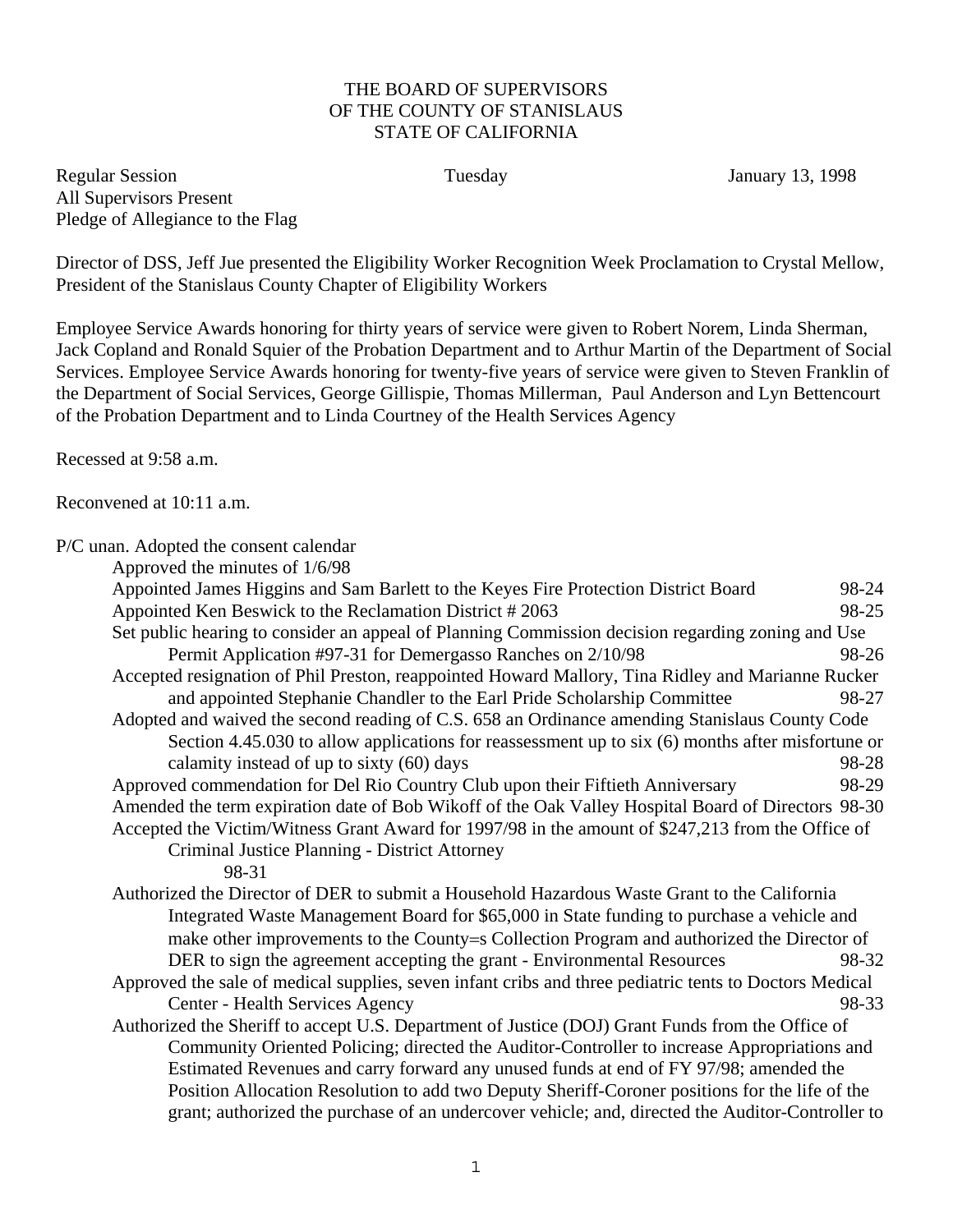## THE BOARD OF SUPERVISORS OF THE COUNTY OF STANISLAUS STATE OF CALIFORNIA

Regular Session Tuesday January 13, 1998 All Supervisors Present Pledge of Allegiance to the Flag

Director of DSS, Jeff Jue presented the Eligibility Worker Recognition Week Proclamation to Crystal Mellow, President of the Stanislaus County Chapter of Eligibility Workers

Employee Service Awards honoring for thirty years of service were given to Robert Norem, Linda Sherman, Jack Copland and Ronald Squier of the Probation Department and to Arthur Martin of the Department of Social Services. Employee Service Awards honoring for twenty-five years of service were given to Steven Franklin of the Department of Social Services, George Gillispie, Thomas Millerman, Paul Anderson and Lyn Bettencourt of the Probation Department and to Linda Courtney of the Health Services Agency

Recessed at 9:58 a.m.

Reconvened at 10:11 a.m.

P/C unan. Adopted the consent calendar

| Approved the minutes of 1/6/98                                                                         |       |
|--------------------------------------------------------------------------------------------------------|-------|
| Appointed James Higgins and Sam Barlett to the Keyes Fire Protection District Board                    | 98-24 |
| Appointed Ken Beswick to the Reclamation District #2063                                                | 98-25 |
| Set public hearing to consider an appeal of Planning Commission decision regarding zoning and Use      |       |
| Permit Application #97-31 for Demergasso Ranches on 2/10/98                                            | 98-26 |
| Accepted resignation of Phil Preston, reappointed Howard Mallory, Tina Ridley and Marianne Rucker      |       |
| and appointed Stephanie Chandler to the Earl Pride Scholarship Committee                               | 98-27 |
| Adopted and waived the second reading of C.S. 658 an Ordinance amending Stanislaus County Code         |       |
| Section 4.45.030 to allow applications for reassessment up to six (6) months after misfortune or       |       |
| calamity instead of up to sixty (60) days                                                              | 98-28 |
| Approved commendation for Del Rio Country Club upon their Fiftieth Anniversary                         | 98-29 |
| Amended the term expiration date of Bob Wikoff of the Oak Valley Hospital Board of Directors 98-30     |       |
| Accepted the Victim/Witness Grant Award for 1997/98 in the amount of \$247,213 from the Office of      |       |
| Criminal Justice Planning - District Attorney                                                          |       |
| 98-31                                                                                                  |       |
| Authorized the Director of DER to submit a Household Hazardous Waste Grant to the California           |       |
| Integrated Waste Management Board for \$65,000 in State funding to purchase a vehicle and              |       |
| make other improvements to the County=s Collection Program and authorized the Director of              |       |
| DER to sign the agreement accepting the grant - Environmental Resources                                | 98-32 |
| Approved the sale of medical supplies, seven infant cribs and three pediatric tents to Doctors Medical |       |
| <b>Center - Health Services Agency</b>                                                                 | 98-33 |
| Authorized the Sheriff to accept U.S. Department of Justice (DOJ) Grant Funds from the Office of       |       |
| Community Oriented Policing; directed the Auditor-Controller to increase Appropriations and            |       |
| Estimated Revenues and carry forward any unused funds at end of FY 97/98; amended the                  |       |
| Position Allocation Resolution to add two Deputy Sheriff-Coroner positions for the life of the         |       |
| grant; authorized the purchase of an undercover vehicle; and, directed the Auditor-Controller to       |       |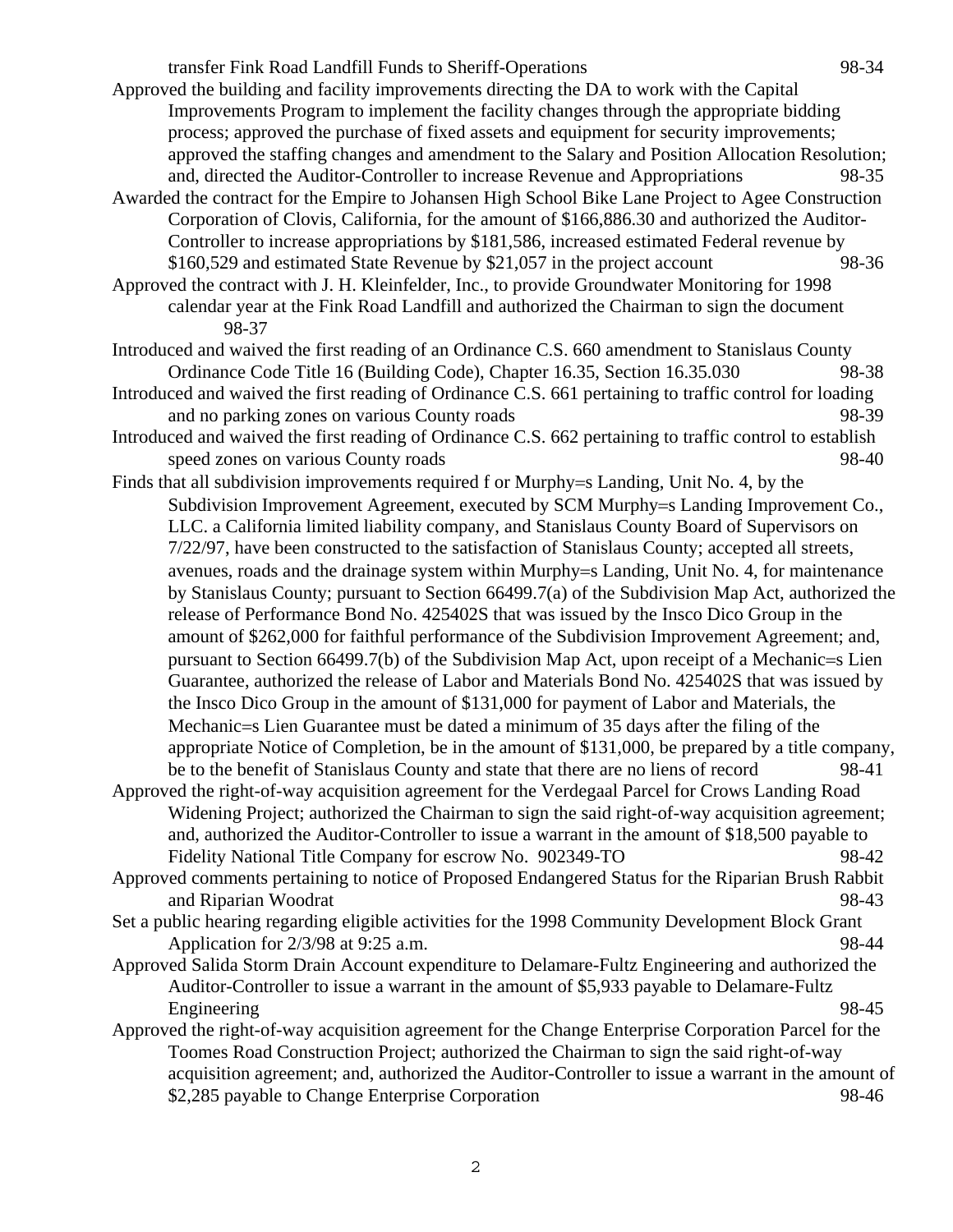transfer Fink Road Landfill Funds to Sheriff-Operations 98-34

- Approved the building and facility improvements directing the DA to work with the Capital Improvements Program to implement the facility changes through the appropriate bidding process; approved the purchase of fixed assets and equipment for security improvements; approved the staffing changes and amendment to the Salary and Position Allocation Resolution; and, directed the Auditor-Controller to increase Revenue and Appropriations 98-35
- Awarded the contract for the Empire to Johansen High School Bike Lane Project to Agee Construction Corporation of Clovis, California, for the amount of \$166,886.30 and authorized the Auditor-Controller to increase appropriations by \$181,586, increased estimated Federal revenue by \$160,529 and estimated State Revenue by \$21,057 in the project account 98-36
- Approved the contract with J. H. Kleinfelder, Inc., to provide Groundwater Monitoring for 1998 calendar year at the Fink Road Landfill and authorized the Chairman to sign the document 98-37
- Introduced and waived the first reading of an Ordinance C.S. 660 amendment to Stanislaus County Ordinance Code Title 16 (Building Code), Chapter 16.35, Section 16.35.030 98-38
- Introduced and waived the first reading of Ordinance C.S. 661 pertaining to traffic control for loading and no parking zones on various County roads 98-39
- Introduced and waived the first reading of Ordinance C.S. 662 pertaining to traffic control to establish speed zones on various County roads 98-40
- Finds that all subdivision improvements required f or Murphy=s Landing, Unit No. 4, by the Subdivision Improvement Agreement, executed by SCM Murphy=s Landing Improvement Co., LLC. a California limited liability company, and Stanislaus County Board of Supervisors on 7/22/97, have been constructed to the satisfaction of Stanislaus County; accepted all streets, avenues, roads and the drainage system within Murphy=s Landing, Unit No. 4, for maintenance by Stanislaus County; pursuant to Section 66499.7(a) of the Subdivision Map Act, authorized the release of Performance Bond No. 425402S that was issued by the Insco Dico Group in the amount of \$262,000 for faithful performance of the Subdivision Improvement Agreement; and, pursuant to Section 66499.7(b) of the Subdivision Map Act, upon receipt of a Mechanic=s Lien Guarantee, authorized the release of Labor and Materials Bond No. 425402S that was issued by the Insco Dico Group in the amount of \$131,000 for payment of Labor and Materials, the Mechanic=s Lien Guarantee must be dated a minimum of 35 days after the filing of the appropriate Notice of Completion, be in the amount of \$131,000, be prepared by a title company, be to the benefit of Stanislaus County and state that there are no liens of record 98-41
- Approved the right-of-way acquisition agreement for the Verdegaal Parcel for Crows Landing Road Widening Project; authorized the Chairman to sign the said right-of-way acquisition agreement; and, authorized the Auditor-Controller to issue a warrant in the amount of \$18,500 payable to Fidelity National Title Company for escrow No. 902349-TO 98-42
- Approved comments pertaining to notice of Proposed Endangered Status for the Riparian Brush Rabbit and Riparian Woodrat 98-43
- Set a public hearing regarding eligible activities for the 1998 Community Development Block Grant Application for  $2/3/98$  at 9:25 a.m. 98-44
- Approved Salida Storm Drain Account expenditure to Delamare-Fultz Engineering and authorized the Auditor-Controller to issue a warrant in the amount of \$5,933 payable to Delamare-Fultz Engineering 98-45
- Approved the right-of-way acquisition agreement for the Change Enterprise Corporation Parcel for the Toomes Road Construction Project; authorized the Chairman to sign the said right-of-way acquisition agreement; and, authorized the Auditor-Controller to issue a warrant in the amount of \$2,285 payable to Change Enterprise Corporation 98-46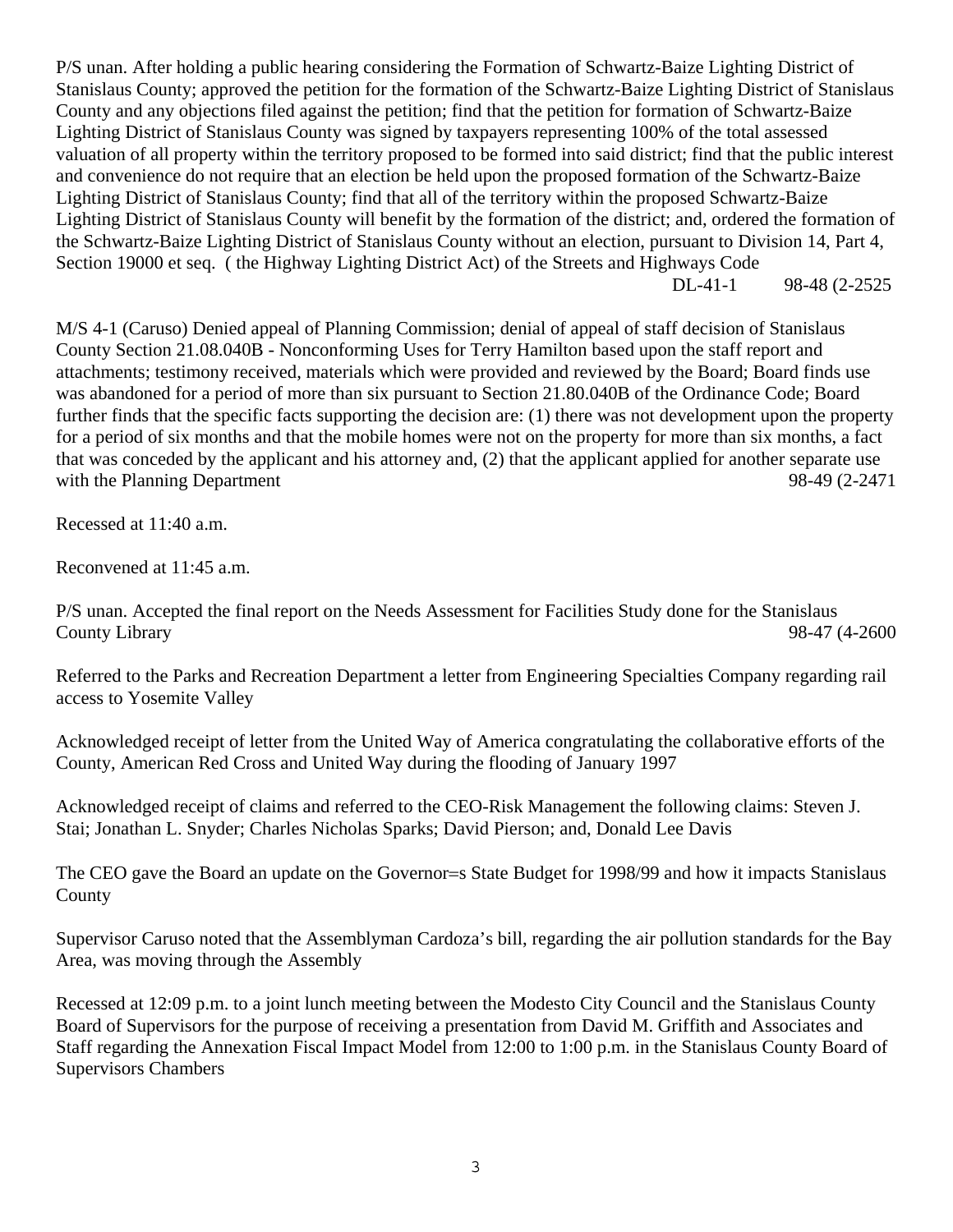P/S unan. After holding a public hearing considering the Formation of Schwartz-Baize Lighting District of Stanislaus County; approved the petition for the formation of the Schwartz-Baize Lighting District of Stanislaus County and any objections filed against the petition; find that the petition for formation of Schwartz-Baize Lighting District of Stanislaus County was signed by taxpayers representing 100% of the total assessed valuation of all property within the territory proposed to be formed into said district; find that the public interest and convenience do not require that an election be held upon the proposed formation of the Schwartz-Baize Lighting District of Stanislaus County; find that all of the territory within the proposed Schwartz-Baize Lighting District of Stanislaus County will benefit by the formation of the district; and, ordered the formation of the Schwartz-Baize Lighting District of Stanislaus County without an election, pursuant to Division 14, Part 4, Section 19000 et seq. ( the Highway Lighting District Act) of the Streets and Highways Code DL-41-1 98-48 (2-2525

M/S 4-1 (Caruso) Denied appeal of Planning Commission; denial of appeal of staff decision of Stanislaus County Section 21.08.040B - Nonconforming Uses for Terry Hamilton based upon the staff report and attachments; testimony received, materials which were provided and reviewed by the Board; Board finds use was abandoned for a period of more than six pursuant to Section 21.80.040B of the Ordinance Code; Board further finds that the specific facts supporting the decision are: (1) there was not development upon the property for a period of six months and that the mobile homes were not on the property for more than six months, a fact that was conceded by the applicant and his attorney and, (2) that the applicant applied for another separate use with the Planning Department 98-49 (2-2471

Recessed at 11:40 a.m.

Reconvened at 11:45 a.m.

P/S unan. Accepted the final report on the Needs Assessment for Facilities Study done for the Stanislaus County Library 98-47 (4-2600

Referred to the Parks and Recreation Department a letter from Engineering Specialties Company regarding rail access to Yosemite Valley

Acknowledged receipt of letter from the United Way of America congratulating the collaborative efforts of the County, American Red Cross and United Way during the flooding of January 1997

Acknowledged receipt of claims and referred to the CEO-Risk Management the following claims: Steven J. Stai; Jonathan L. Snyder; Charles Nicholas Sparks; David Pierson; and, Donald Lee Davis

The CEO gave the Board an update on the Governor=s State Budget for 1998/99 and how it impacts Stanislaus County

Supervisor Caruso noted that the Assemblyman Cardoza's bill, regarding the air pollution standards for the Bay Area, was moving through the Assembly

Recessed at 12:09 p.m. to a joint lunch meeting between the Modesto City Council and the Stanislaus County Board of Supervisors for the purpose of receiving a presentation from David M. Griffith and Associates and Staff regarding the Annexation Fiscal Impact Model from 12:00 to 1:00 p.m. in the Stanislaus County Board of Supervisors Chambers